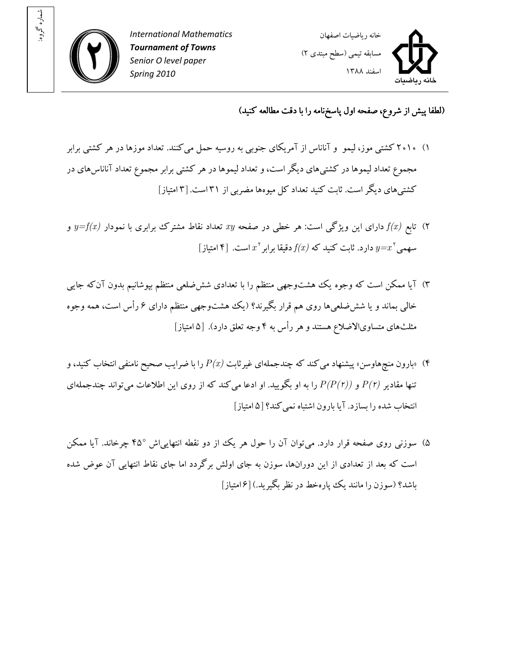

: شماره گروه



(لطفا پيش از شروع، صفحه اول پاسخ نامه را با دقت مطالعه کنيد)

- ۱) ۲۰۱۰ کشتی موز، ليمو و آناناس از آمريکای جنوبی به روسيه حمل می کنند. تعداد موزها در هر کشتی برابر مجموع تعداد ليموها در کشتيهاي ديگر است، و تعداد ليموها در هر کشتي برابر مجموع تعداد آناناس هاي در کشتی های ديگر است. ثابت کنيد تعداد کل ميوهها مضربي از ۳۱ است. [۳ امتياز]
- ا) تابع  $f(x)$  دارای اين ويژگي است: هر خطي در صفحه  $xy$  تعداد نقاط مشترک برابری با نمودار  $f(x)$  و  $y=$ (۴ مهمی $x^\star$ و دارد. ثابت کنید که  $f(x)$  دقیقا برابر $x^\star$  است.  $y{=}x^\star$
- ۳) آيا ممکن است که وجوه يک هشتوجهي منتظم را با تعدادی ششضلعی منتظم بپوشانيم بدون آنکه جايي خالبي بماند و يا شش ضلعيها روي هم قرار بگيرند؟ (يک هشتوجهي منتظم داراي ۶ رأس است، همه وجوه يها مثلث متساو يالاضلاع هستند و هر رأس به ۴ وجه تعلق دارد). [ ۵ امتياز]
- بارون منچ هاوسن» پیشنهاد می کند که چندجملهای غیرثابت  $P(x)$  را با ضرایب صحیح نامنفی انتخاب کنید، و  $\Psi$ تنها مقادیر  $P(r)$  و  $P(P(r))$  را به او بگویید. او ادعا می کند که از روی این اطلاعات می تواند چندجملهای انتخاب شده را بساز يآ. د ا بارون اشتباه نم يکند؟ ۵[ امتياز]
- ۵) سوزني روي صفحه قرار دارد. مي توان آن را حول هر يک از دو نقطه انتهايي اش °۴۵ چرخاند. آيا ممکن است که بعد از تعدادي از اين دورانها، سوزن به جاي اولش برگردد اما جاي نقاط انتهايي آن عوض شده باشد؟ (سوزن را مانند يک پارهخط در نظر بگيريد.) [۶|متياز]